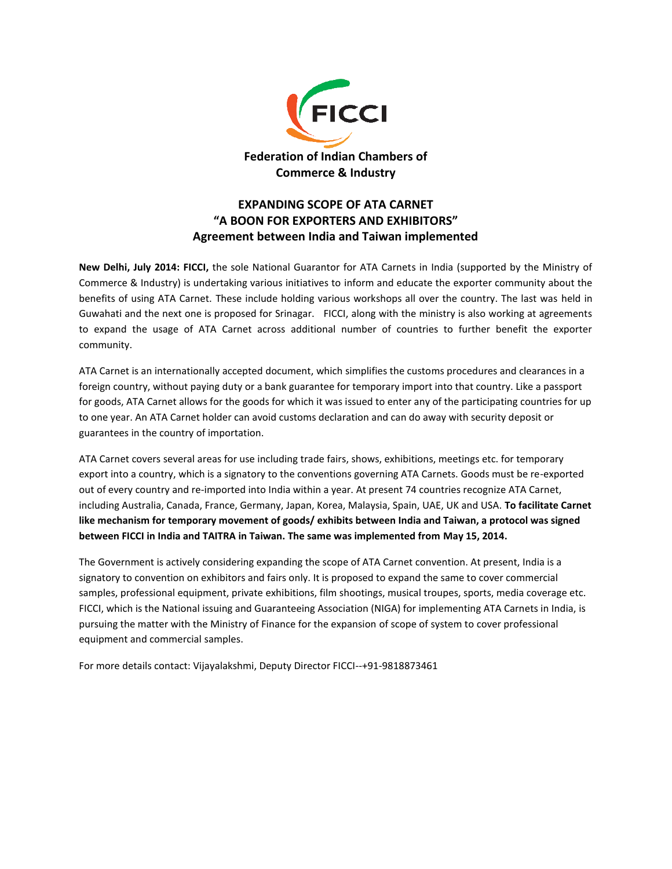

## **EXPANDING SCOPE OF ATA CARNET "A BOON FOR EXPORTERS AND EXHIBITORS" Agreement between India and Taiwan implemented**

**New Delhi, July 2014: FICCI,** the sole National Guarantor for ATA Carnets in India (supported by the Ministry of Commerce & Industry) is undertaking various initiatives to inform and educate the exporter community about the benefits of using ATA Carnet. These include holding various workshops all over the country. The last was held in Guwahati and the next one is proposed for Srinagar. FICCI, along with the ministry is also working at agreements to expand the usage of ATA Carnet across additional number of countries to further benefit the exporter community.

ATA Carnet is an internationally accepted document, which simplifies the customs procedures and clearances in a foreign country, without paying duty or a bank guarantee for temporary import into that country. Like a passport for goods, ATA Carnet allows for the goods for which it was issued to enter any of the participating countries for up to one year. An ATA Carnet holder can avoid customs declaration and can do away with security deposit or guarantees in the country of importation.

ATA Carnet covers several areas for use including trade fairs, shows, exhibitions, meetings etc. for temporary export into a country, which is a signatory to the conventions governing ATA Carnets. Goods must be re-exported out of every country and re-imported into India within a year. At present 74 countries recognize ATA Carnet, including Australia, Canada, France, Germany, Japan, Korea, Malaysia, Spain, UAE, UK and USA. **To facilitate Carnet like mechanism for temporary movement of goods/ exhibits between India and Taiwan, a protocol was signed between FICCI in India and TAITRA in Taiwan. The same was implemented from May 15, 2014.**

The Government is actively considering expanding the scope of ATA Carnet convention. At present, India is a signatory to convention on exhibitors and fairs only. It is proposed to expand the same to cover commercial samples, professional equipment, private exhibitions, film shootings, musical troupes, sports, media coverage etc. FICCI, which is the National issuing and Guaranteeing Association (NIGA) for implementing ATA Carnets in India, is pursuing the matter with the Ministry of Finance for the expansion of scope of system to cover professional equipment and commercial samples.

For more details contact: Vijayalakshmi, Deputy Director FICCI--+91-9818873461